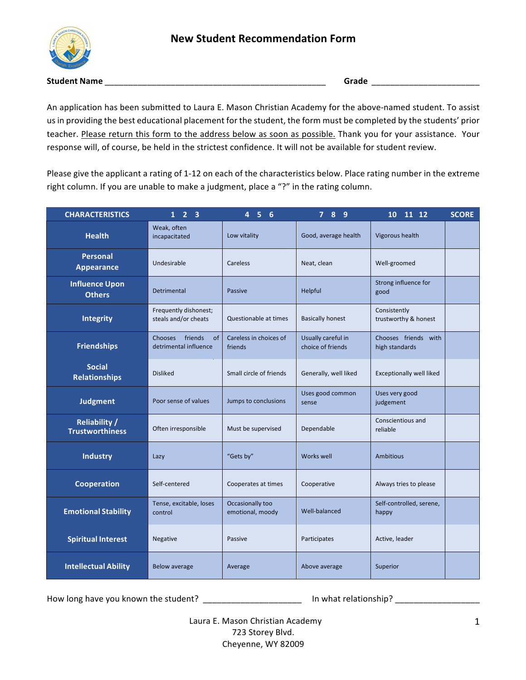

**Student Name** \_\_\_\_\_\_\_\_\_\_\_\_\_\_\_\_\_\_\_\_\_\_\_\_\_\_\_\_\_\_\_\_\_\_\_\_\_\_\_\_\_\_\_\_\_\_\_ **Grade** \_\_\_\_\_\_\_\_\_\_\_\_\_\_\_\_\_\_\_\_\_\_\_

An application has been submitted to Laura E. Mason Christian Academy for the above-named student. To assist us in providing the best educational placement for the student, the form must be completed by the students' prior teacher. Please return this form to the address below as soon as possible. Thank you for your assistance. Your response will, of course, be held in the strictest confidence. It will not be available for student review.

Please give the applicant a rating of 1-12 on each of the characteristics below. Place rating number in the extreme right column. If you are unable to make a judgment, place a "?" in the rating column.

| <b>CHARACTERISTICS</b>                         | 2 <sub>3</sub><br>$\mathbf{1}$                           | 4 <sub>5</sub><br>6                  | 7 8 9                                   | 10 11 12                               | <b>SCORE</b> |
|------------------------------------------------|----------------------------------------------------------|--------------------------------------|-----------------------------------------|----------------------------------------|--------------|
| <b>Health</b>                                  | Weak, often<br>incapacitated                             | Low vitality                         | Good, average health                    | Vigorous health                        |              |
| <b>Personal</b><br><b>Appearance</b>           | Undesirable                                              | Careless                             | Neat, clean                             | Well-groomed                           |              |
| <b>Influence Upon</b><br><b>Others</b>         | Detrimental                                              | Passive                              | Helpful                                 | Strong influence for<br>good           |              |
| <b>Integrity</b>                               | Frequently dishonest;<br>steals and/or cheats            | Questionable at times                | <b>Basically honest</b>                 | Consistently<br>trustworthy & honest   |              |
| <b>Friendships</b>                             | <b>Chooses</b><br>friends<br>of<br>detrimental influence | Careless in choices of<br>friends    | Usually careful in<br>choice of friends | Chooses friends with<br>high standards |              |
| <b>Social</b><br><b>Relationships</b>          | <b>Disliked</b>                                          | Small circle of friends              | Generally, well liked                   | <b>Exceptionally well liked</b>        |              |
| <b>Judgment</b>                                | Poor sense of values                                     | Jumps to conclusions                 | Uses good common<br>sense               | Uses very good<br>judgement            |              |
| <b>Reliability /</b><br><b>Trustworthiness</b> | Often irresponsible                                      | Must be supervised                   | Dependable                              | Conscientious and<br>reliable          |              |
| <b>Industry</b>                                | Lazy                                                     | "Gets by"                            | Works well                              | <b>Ambitious</b>                       |              |
| <b>Cooperation</b>                             | Self-centered                                            | Cooperates at times                  | Cooperative                             | Always tries to please                 |              |
| <b>Emotional Stability</b>                     | Tense, excitable, loses<br>control                       | Occasionally too<br>emotional, moody | Well-balanced                           | Self-controlled, serene,<br>happy      |              |
| <b>Spiritual Interest</b>                      | Negative                                                 | Passive                              | Participates                            | Active, leader                         |              |
| <b>Intellectual Ability</b>                    | <b>Below average</b>                                     | Average                              | Above average                           | Superior                               |              |

How long have you known the student? \_\_\_\_\_\_\_\_\_\_\_\_\_\_\_\_\_\_\_\_\_\_\_\_\_\_\_ In what relationship? \_\_\_\_\_\_\_\_\_\_\_\_\_\_\_\_\_\_\_\_\_\_

Laura E. Mason Christian Academy 723 Storey Blvd. Cheyenne, WY 82009